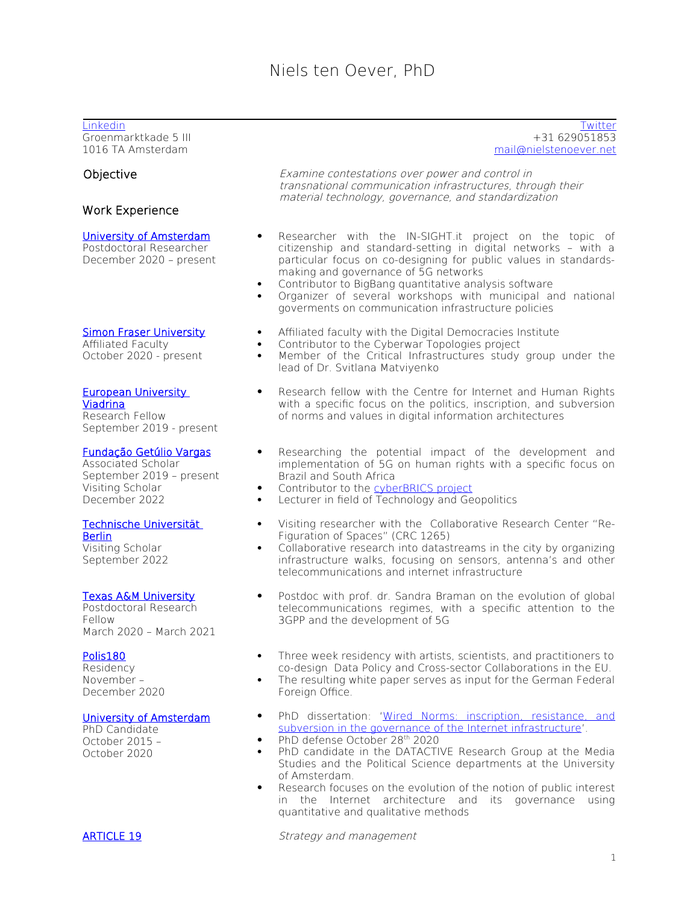Groenmarktkade 5 III 1016 TA Amsterdam

# Work Experience

#### [University of Amsterdam](./University%20of%20Amsterdam)

Postdoctoral Researcher December 2020 – present

# [Simon Fraser University](https://digitaldemocracies.org/research/cyberwar-topologies/)

Affiliated Faculty October 2020 - present

#### [European University](https://cihr.eu/about/)  [Viadrina](https://cihr.eu/about/)

Research Fellow September 2019 - present

# [Fundação Getúlio Vargas](https://internet-governance.fgv.br/)

Associated Scholar September 2019 – present Visiting Scholar December 2022

# [Technische Universität](https://www.tu.berlin/en/)

[Berlin](https://www.tu.berlin/en/) Visiting Scholar September 2022

## [Texas A&M University](https://liberalarts.tamu.edu/communication/)

Postdoctoral Research Fellow March 2020 – March 2021

## [Polis180](https://polis180.org/)

Residency November – December 2020

## [University of Amsterdam](https://data-activism.net/)

PhD Candidate October 2015 – October 2020

[Linkedin](https://www.linkedin.com/in/nielstenoever/) [Twitter](https://twitter.com/nielstenoever) and Twitter and Twitter and Twitter and Twitter and Twitter and Twitter and Twitter and Twitter +31 629051853 [mail@nielstenoever.net](mailto:mail@nielstenoever.net)

Objective **Examine contestations over power and control in** transnational communication infrastructures, through their material technology, governance, and standardization

- Researcher with the IN-SIGHT.it project on the topic of citizenship and standard-setting in digital networks – with a particular focus on co-designing for public values in standardsmaking and governance of 5G networks
- Contributor to BigBang quantitative analysis software
- Organizer of several workshops with municipal and national goverments on communication infrastructure policies
- Affiliated faculty with the Digital Democracies Institute
- Contributor to the Cyberwar Topologies project
- Member of the Critical Infrastructures study group under the lead of Dr. Svitlana Matviyenko
- Research fellow with the Centre for Internet and Human Rights with a specific focus on the politics, inscription, and subversion of norms and values in digital information architectures
- Researching the potential impact of the development and implementation of 5G on human rights with a specific focus on Brazil and South Africa
- Contributor to the [cyberBRICS project](https://cyberbrics.info/)
- Lecturer in field of Technology and Geopolitics
- Visiting researcher with the Collaborative Research Center "Re-Figuration of Spaces" (CRC 1265)
- Collaborative research into datastreams in the city by organizing infrastructure walks, focusing on sensors, antenna's and other telecommunications and internet infrastructure
- Postdoc with prof. dr. Sandra Braman on the evolution of global telecommunications regimes, with a specific attention to the 3GPP and the development of 5G
- Three week residency with artists, scientists, and practitioners to co-design Data Policy and Cross-sector Collaborations in the EU.
- The resulting white paper serves as input for the German Federal Foreign Office.
- PhD dissertation: ['Wired Norms: inscription, resistance, and](https://nielstenoever.net/wp-content/uploads/2020/09/WiredNorms-NielstenOever.pdf) [subversion in the governance of the Internet infrastructure'](https://nielstenoever.net/wp-content/uploads/2020/09/WiredNorms-NielstenOever.pdf).
- PhD defense October 28<sup>th</sup> 2020
- PhD candidate in the DATACTIVE Research Group at the Media Studies and the Political Science departments at the University of Amsterdam.
- Research focuses on the evolution of the notion of public interest in the Internet architecture and its governance using quantitative and qualitative methods

ARTICLE 19 Strategy and management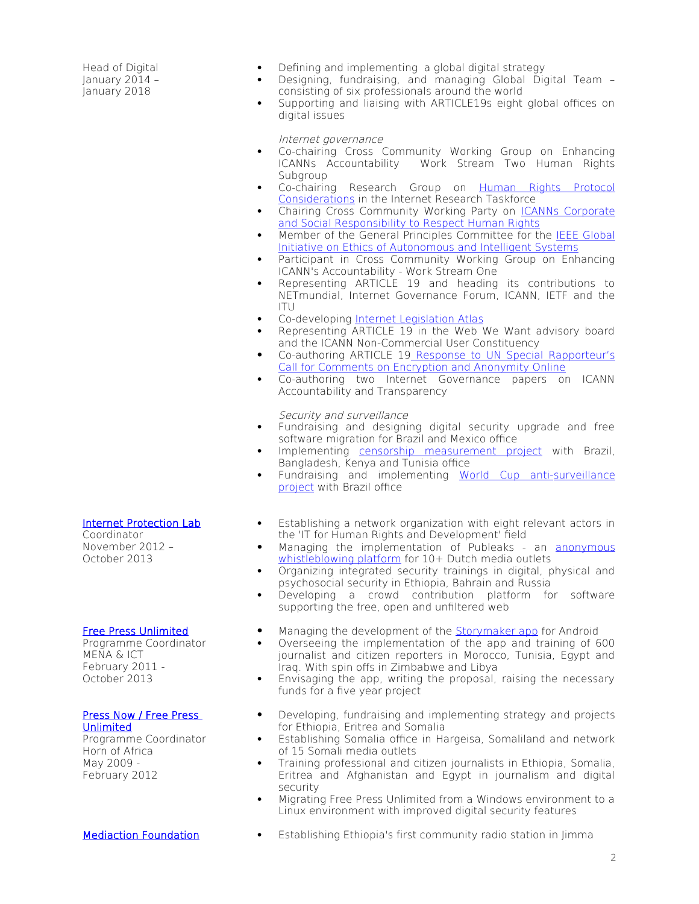Head of Digital January 2014 – January 2018

- Defining and implementing a global digital strategy
- Designing, fundraising, and managing Global Digital Team consisting of six professionals around the world
- Supporting and liaising with ARTICLE19s eight global offices on digital issues

Internet governance

- Co-chairing Cross Community Working Group on Enhancing<br>ICANNs Accountability Work Stream Two Human Rights Work Stream Two Human Rights Subaroup
- Co-chairing Research Group on [Human Rights Protocol](https://irtf.org/hrpc) [Considerations](https://irtf.org/hrpc) in the Internet Research Taskforce
- Chairing Cross Community Working Party on [ICANNs Corporate](http://icannhumanrights.net/) and Social Responsibility to Respect Human Rights
- Member of the General Principles Committee for the [IEEE Global](https://standards.ieee.org/industry-connections/ec/autonomous-systems.html) [Initiative on Ethics of Autonomous and Intelligent Systems](https://standards.ieee.org/industry-connections/ec/autonomous-systems.html)
- **Participant in Cross Community Working Group on Enhancing** ICANN's Accountability - Work Stream One
- Representing ARTICLE 19 and heading its contributions to NETmundial, Internet Governance Forum, ICANN, IETF and the ITU
- Co-developing Internet Legislation Atlas
- Representing ARTICLE 19 in the Web We Want advisory board and the ICANN Non-Commercial User Constituency
- Co-authoring ARTICLE 19 [Response to UN Special Rapporteur's](https://www.article19.org/data/files/medialibrary/37862/A19-Response-to-UN-Special-Rapporteur-Anonymity-and-Encryption--Final.pdf) [Call for Comments on Encryption and Anonymity Online](https://www.article19.org/data/files/medialibrary/37862/A19-Response-to-UN-Special-Rapporteur-Anonymity-and-Encryption--Final.pdf)
- Co-authoring two Internet Governance papers on ICANN Accountability and Transparency

Security and surveillance

- Fundraising and designing digital security upgrade and free software migration for Brazil and Mexico office
- Implementing [censorship measurement project](https://censorship.exposed/) with Brazil, Bangladesh, Kenya and Tunisia office
- Fundraising and implementing World Cup anti-surveillance [project](https://www.protestos.org/) with Brazil office
- Establishing a network organization with eight relevant actors in the 'IT for Human Rights and Development' field
- Managing the implementation of Publeaks an [anonymous](http://www.publeaks.org/) whistleblowing platform for 10+ Dutch media outlets
- Organizing integrated security trainings in digital, physical and psychosocial security in Ethiopia, Bahrain and Russia
- Developing a crowd contribution platform for software supporting the free, open and unfiltered web
- Managing the development of the [Storymaker app](https://www.freepressunlimited.org/en/projects/storymaker-make-your-story-great) for Android
- Overseeing the implementation of the app and training of 600 journalist and citizen reporters in Morocco, Tunisia, Egypt and Iraq. With spin offs in Zimbabwe and Libya
- Envisaging the app, writing the proposal, raising the necessary funds for a five year project
- Developing, fundraising and implementing strategy and projects for Ethiopia, Eritrea and Somalia
- Establishing Somalia office in Hargeisa, Somaliland and network of 15 Somali media outlets
- Training professional and citizen journalists in Ethiopia, Somalia, Eritrea and Afghanistan and Egypt in journalism and digital security
- Migrating Free Press Unlimited from a Windows environment to a Linux environment with improved digital security features
- [Mediaction Foundation](http://radioinethiopia.org/) Establishing Ethiopia's first community radio station in Jimma

# [Internet Protection Lab](http://www.internetprotectionlab.net/en/)

Coordinator November 2012 – October 2013

#### [Free Press Unlimited](https://www.freepressunlimited.org/)

Programme Coordinator MENA & ICT February 2011 - October 2013

#### [Press Now / Free Press](https://www.freepressunlimited.org/)  [Unlimited](https://www.freepressunlimited.org/)

Programme Coordinator Horn of Africa May 2009 - February 2012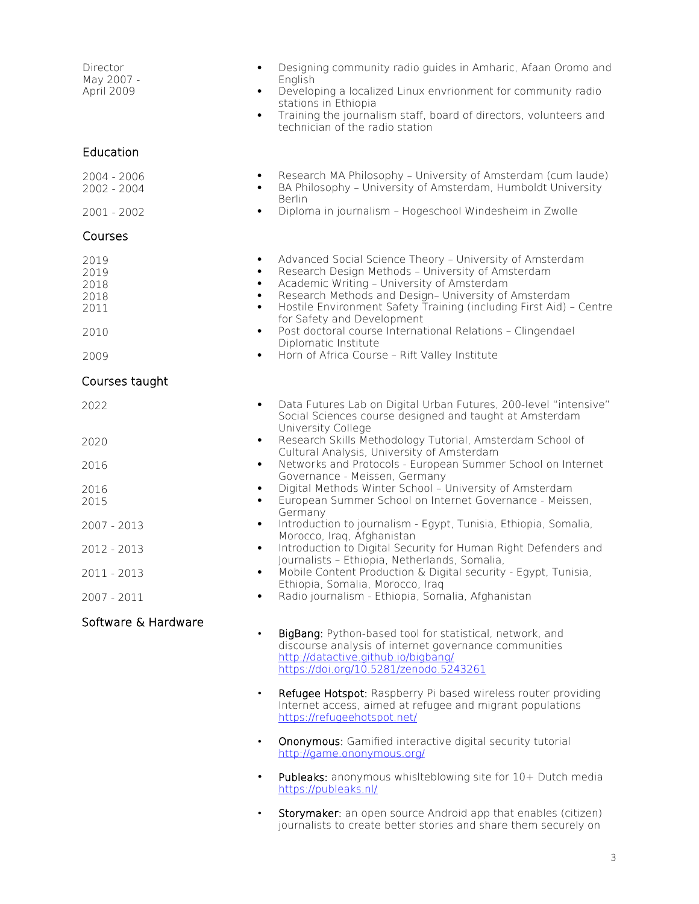| Director<br>May 2007 -<br>April 2009 | Designing community radio guides in Amharic, Afaan Oromo and<br>$\bullet$<br>English<br>Developing a localized Linux envrionment for community radio<br>$\bullet$<br>stations in Ethiopia<br>Training the journalism staff, board of directors, volunteers and<br>$\bullet$<br>technician of the radio station                                                                           |
|--------------------------------------|------------------------------------------------------------------------------------------------------------------------------------------------------------------------------------------------------------------------------------------------------------------------------------------------------------------------------------------------------------------------------------------|
| Education                            |                                                                                                                                                                                                                                                                                                                                                                                          |
| 2004 - 2006<br>2002 - 2004           | Research MA Philosophy - University of Amsterdam (cum laude)<br>BA Philosophy - University of Amsterdam, Humboldt University<br>Berlin                                                                                                                                                                                                                                                   |
| $2001 - 2002$                        | Diploma in journalism - Hogeschool Windesheim in Zwolle<br>$\bullet$                                                                                                                                                                                                                                                                                                                     |
| Courses                              |                                                                                                                                                                                                                                                                                                                                                                                          |
| 2019<br>2019<br>2018<br>2018<br>2011 | Advanced Social Science Theory - University of Amsterdam<br>$\bullet$<br>Research Design Methods - University of Amsterdam<br>$\bullet$<br>Academic Writing - University of Amsterdam<br>$\bullet$<br>Research Methods and Design- University of Amsterdam<br>$\bullet$<br>Hostile Environment Safety Training (including First Aid) - Centre<br>$\bullet$<br>for Safety and Development |
| 2010                                 | Post doctoral course International Relations - Clingendael<br>$\bullet$<br>Diplomatic Institute                                                                                                                                                                                                                                                                                          |
| 2009                                 | Horn of Africa Course - Rift Valley Institute<br>$\bullet$                                                                                                                                                                                                                                                                                                                               |
| Courses taught                       |                                                                                                                                                                                                                                                                                                                                                                                          |
| 2022                                 | Data Futures Lab on Digital Urban Futures, 200-level "intensive"<br>$\bullet$<br>Social Sciences course designed and taught at Amsterdam<br>University College                                                                                                                                                                                                                           |
| 2020                                 | Research Skills Methodology Tutorial, Amsterdam School of<br>$\bullet$<br>Cultural Analysis, University of Amsterdam                                                                                                                                                                                                                                                                     |
| 2016                                 | Networks and Protocols - European Summer School on Internet<br>$\bullet$<br>Governance - Meissen, Germany                                                                                                                                                                                                                                                                                |
| 2016<br>2015                         | Digital Methods Winter School - University of Amsterdam<br>٠<br>European Summer School on Internet Governance - Meissen,<br>$\bullet$<br>Germany                                                                                                                                                                                                                                         |
| 2007 - 2013                          | Introduction to journalism - Egypt, Tunisia, Ethiopia, Somalia,<br>$\bullet$<br>Morocco, Iraq, Afghanistan                                                                                                                                                                                                                                                                               |
| 2012 - 2013                          | Introduction to Digital Security for Human Right Defenders and<br>$\bullet$<br>Journalists - Ethiopia, Netherlands, Somalia,                                                                                                                                                                                                                                                             |
| 2011 - 2013                          | Mobile Content Production & Digital security - Egypt, Tunisia,<br>Ethiopia, Somalia, Morocco, Iraq                                                                                                                                                                                                                                                                                       |
| $2007 - 2011$                        | Radio journalism - Ethiopia, Somalia, Afghanistan<br>$\bullet$                                                                                                                                                                                                                                                                                                                           |
| Software & Hardware                  | BigBang: Python-based tool for statistical, network, and<br>$\bullet$<br>discourse analysis of internet governance communities<br>http://datactive.github.io/bigbang/<br>https://doi.org/10.5281/zenodo.5243261                                                                                                                                                                          |
|                                      | Refugee Hotspot: Raspberry Pi based wireless router providing<br>Internet access, aimed at refugee and migrant populations<br>https://refugeehotspot.net/                                                                                                                                                                                                                                |
|                                      | <b>Ononymous:</b> Gamified interactive digital security tutorial<br>$\bullet$<br>http://game.ononymous.org/                                                                                                                                                                                                                                                                              |
|                                      | Publeaks: anonymous whislteblowing site for 10+ Dutch media<br>$\bullet$<br>https://publeaks.nl/                                                                                                                                                                                                                                                                                         |
|                                      | Storymaker: an open source Android app that enables (citizen)<br>journalists to create better stories and share them securely on                                                                                                                                                                                                                                                         |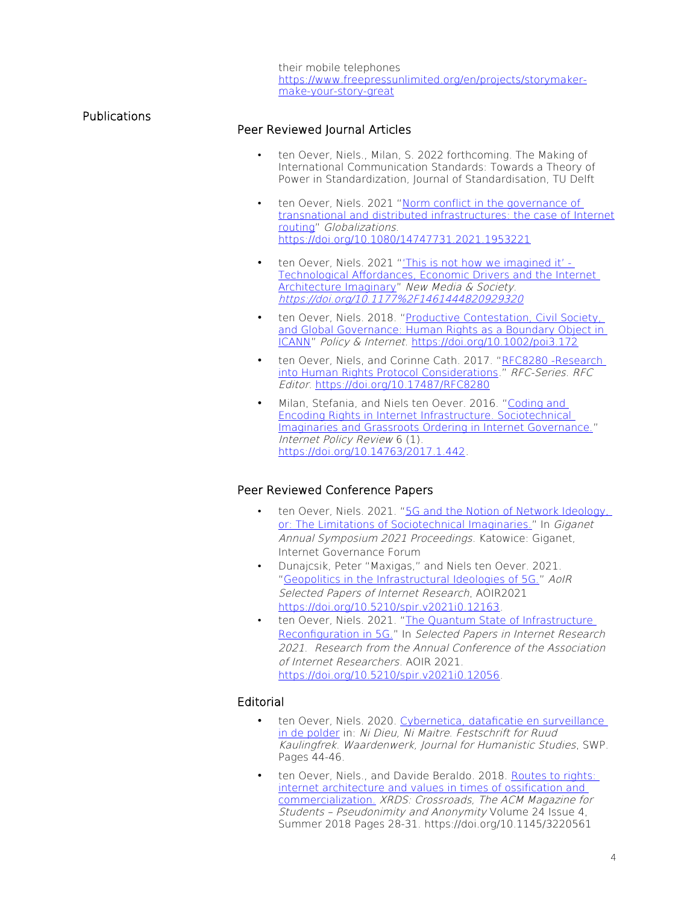their mobile telephones [https://www.freepressunlimited.org/en/projects/storymaker](https://www.freepressunlimited.org/en/projects/storymaker-make-your-story-great)[make-your-story-great](https://www.freepressunlimited.org/en/projects/storymaker-make-your-story-great)

# Peer Reviewed Journal Articles

Publications

- ten Oever, Niels., Milan, S. 2022 forthcoming. The Making of International Communication Standards: Towards a Theory of Power in Standardization, Journal of Standardisation, TU Delft
- ten Oever, Niels. 2021 "Norm conflict in the governance of transnational and distributed infrastructures: the case of Internet [routing](https://www.tandfonline.com/doi/full/10.1080/14747731.2021.1953221)" Globalizations. <https://doi.org/10.1080/14747731.2021.1953221>
- ten Oever, Niels. 2021 "'This is not how we imagined it' -[Technological Affordances, Economic Drivers and the Internet](https://journals.sagepub.com/doi/full/10.1177/1461444820929320)  [Architecture Imaginary](https://journals.sagepub.com/doi/full/10.1177/1461444820929320)" New Media & Society. <https://doi.org/10.1177%2F1461444820929320>
- ten Oever, Niels. 2018. "Productive Contestation, Civil Society, [and Global Governance: Human Rights as a Boundary Object in](https://onlinelibrary.wiley.com/doi/full/10.1002/poi3.172)  [ICANN](https://onlinelibrary.wiley.com/doi/full/10.1002/poi3.172)" Policy & Internet.<https://doi.org/10.1002/poi3.172>
- ten Oever, Niels, and Corinne Cath. 2017. "RFC8280 -Research [into Human Rights Protocol Considerations.](https://tools.ietf.org/html/rfc8280)" RFC-Series. RFC Editor. <https://doi.org/10.17487/RFC8280>
- Milan, Stefania, and Niels ten Oever. 2016. "Coding and [Encoding Rights in Internet Infrastructure. Sociotechnical](https://policyreview.info/articles/analysis/coding-and-encoding-rights-internet-infrastructure)  [Imaginaries and Grassroots Ordering in Internet Governance."](https://policyreview.info/articles/analysis/coding-and-encoding-rights-internet-infrastructure) Internet Policy Review 6 (1). [https://doi.org/10.14763/2017.1.442.](https://doi.org/10.14763/2017.1.442)

# Peer Reviewed Conference Papers

- ten Oever, Niels. 2021. ["5G and the Notion of Network Ideology,](https://www.giga-net.org/2021SymposiumPapers/5G%20network%20ideology%20-%20Niels%20ten%20Oever%20-%20Giganet.pdf.)  [or: The Limitations of Sociotechnical Imaginaries.](https://www.giga-net.org/2021SymposiumPapers/5G%20network%20ideology%20-%20Niels%20ten%20Oever%20-%20Giganet.pdf.)" In Giganet Annual Symposium 2021 Proceedings. Katowice: Giganet, Internet Governance Forum
- Dunajcsik, Peter "Maxigas," and Niels ten Oever. 2021. ["Geopolitics in the Infrastructural Ideologies of 5G."](https://doi.org/10.5210/spir.v2021i0.12163) AoIR Selected Papers of Internet Research, AOIR2021 <https://doi.org/10.5210/spir.v2021i0.12163>.
- ten Oever, Niels. 2021. ["The Quantum State of Infrastructure](https://doi.org/10.5210/spir.v2021i0.12056)  [Reconfiguration in 5G."](https://doi.org/10.5210/spir.v2021i0.12056) In Selected Papers in Internet Research 2021. Research from the Annual Conference of the Association of Internet Researchers. AOIR 2021. <https://doi.org/10.5210/spir.v2021i0.12056>.

# Editorial

- ten Oever, Niels. 2020. Cybernetica, dataficatie en surveillance [in de polder](https://www.waardenwerk.net/cybernetica-dataficatie-en-surveillance-in-de-polder/1028985) in: Ni Dieu, Ni Maitre. Festschrift for Ruud Kaulingfrek. Waardenwerk, Journal for Humanistic Studies, SWP. Pages 44-46.
- ten Oever, Niels., and Davide Beraldo. 2018. Routes to rights: [internet architecture and values in times of ossification and](https://dl.acm.org/authorize?N667095)  [commercialization.](https://dl.acm.org/authorize?N667095) XRDS: Crossroads, The ACM Magazine for Students – Pseudonimity and Anonymity Volume 24 Issue 4, Summer 2018 Pages 28-31. https://doi.org/10.1145/3220561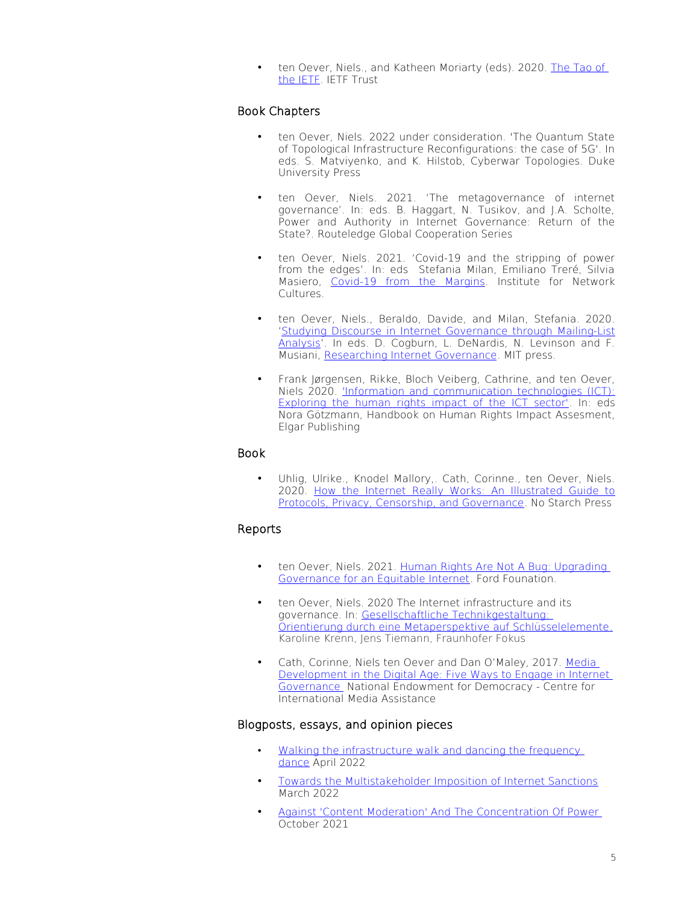• ten Oever, Niels., and Katheen Moriarty (eds). 2020. [The Tao of](https://www.ietf.org/about/participate/tao/)  [the IETF.](https://www.ietf.org/about/participate/tao/) IETF Trust

# Book Chapters

- ten Oever, Niels. 2022 under consideration. 'The Quantum State of Topological Infrastructure Reconfigurations: the case of 5G'. In eds. S. Matviyenko, and K. Hilstob, Cyberwar Topologies. Duke University Press
- ten Oever, Niels. 2021. 'The metagovernance of internet governance'. In: eds. B. Haggart, N. Tusikov, and J.A. Scholte, Power and Authority in Internet Governance: Return of the State?. Routeledge Global Cooperation Series
- ten Oever, Niels. 2021. 'Covid-19 and the stripping of power from the edges'. In: eds Stefania Milan, Emiliano Treré, Silvia Masiero, [Covid-19 from the Margins](https://networkcultures.org/wp-content/uploads/2021/02/Covid19FromTheMargins.pdf). Institute for Network Cultures.
- ten Oever, Niels., Beraldo, Davide, and Milan, Stefania. 2020. '[Studying Discourse in Internet Governance through Mailing-List](https://direct.mit.edu/books/book/4936/chapter/625914/Studying-Discourse-in-Internet-Governance-through) [Analysis](https://direct.mit.edu/books/book/4936/chapter/625914/Studying-Discourse-in-Internet-Governance-through)'. In eds. D. Cogburn, L. DeNardis, N. Levinson and F. Musiani, Researching Internet Governance. MIT press.
- Frank Jørgensen, Rikke, Bloch Veiberg, Cathrine, and ten Oever, Niels 2020. ['Information and communication technologies \(ICT\):](https://nielstenoever.net/wp-content/uploads/2020/06/Chapter-12_ICT_v250319.pdf) [Exploring the human rights impact of the ICT sector'.](https://nielstenoever.net/wp-content/uploads/2020/06/Chapter-12_ICT_v250319.pdf) In: eds Nora Götzmann, Handbook on Human Rights Impact Assesment, Elgar Publishing

# Book

• Uhlig, Ulrike., Knodel Mallory,. Cath, Corinne., ten Oever, Niels. 2020. [How the Internet Really Works: An Illustrated Guide to](https://nostarch.com/how-internet-really-works) [Protocols, Privacy, Censorship, and Governance](https://nostarch.com/how-internet-really-works). No Starch Press

# Reports

- ten Oever, Niels. 2021. [Human Rights Are Not A Bug: Upgrading](https://www.fordfoundation.org/work/learning/research-reports/human-rights-are-not-a-bug-upgrading-governance-for-an-equitable-internet/)  [Governance for an Equitable Internet.](https://www.fordfoundation.org/work/learning/research-reports/human-rights-are-not-a-bug-upgrading-governance-for-an-equitable-internet/) Ford Founation.
- ten Oever, Niels. 2020 The Internet infrastructure and its governance. In: [Gesellschaftliche Technikgestaltung:](http://publica.fraunhofer.de/eprints/urn_nbn_de_0011-n-6030909.pdf)   [Orientierung durch eine Metaperspektive auf Schlüsselelemente](http://publica.fraunhofer.de/eprints/urn_nbn_de_0011-n-6030909.pdf). Karoline Krenn, Jens Tiemann, Fraunhofer Fokus
- Cath, Corinne, Niels ten Oever and Dan O'Maley, 2017. [Media](https://www.cima.ned.org/wp-content/uploads/2017/03/CIMA-Internet-Governance_150ppi-for-web_REV.pdf)   [Development in the Digital Age: Five Ways to Engage in Internet](https://www.cima.ned.org/wp-content/uploads/2017/03/CIMA-Internet-Governance_150ppi-for-web_REV.pdf)  [Governance](https://www.cima.ned.org/wp-content/uploads/2017/03/CIMA-Internet-Governance_150ppi-for-web_REV.pdf) National Endowment for Democracy - Centre for International Media Assistance

# Blogposts, essays, and opinion pieces

- Walking the infrastructure walk and dancing the frequency [dance](https://globaldigitalcultures.org/2022/04/12/walking-the-infrastructure-walk-and-dancing-the-frequency-dance-you-only-see-it-when-you-get-it/) April 2022
- [Towards the Multistakeholder Imposition of Internet Sanctions](https://techpolicy.press/towards-the-multistakeholder-imposition-of-internet-sanctions/) March 2022
- [Against 'Content Moderation' And The Concentration Of Power](https://www.techdirt.com/articles/20211001/11502947676/against-content-moderation-concentration-power.shtm) October 2021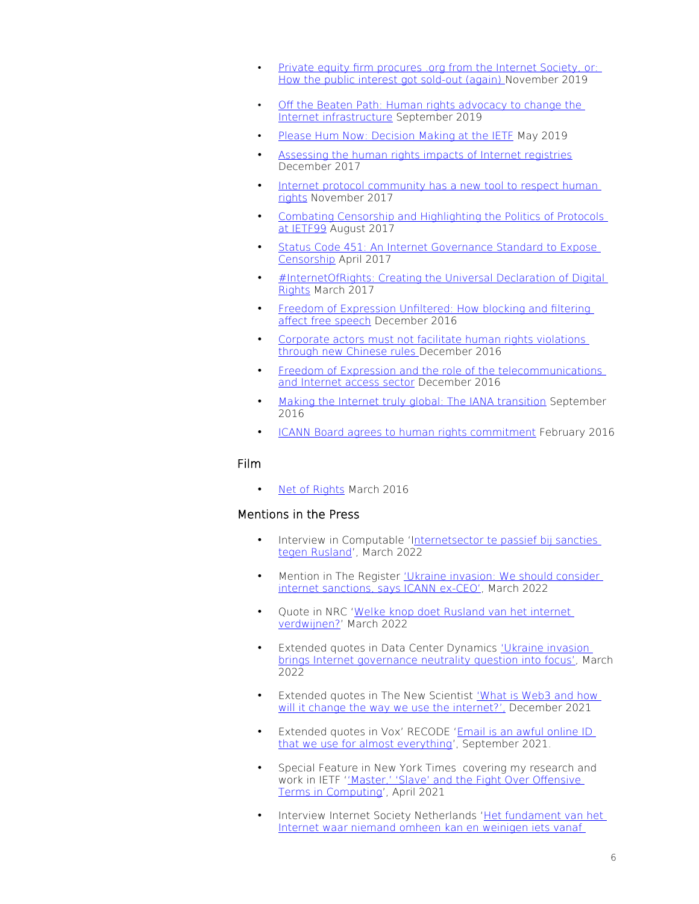- • [Private equity firm procures .org from the Internet Society, or:](https://www.opendemocracy.net/en/hri/private-equity-firm-procures-org-internet-society-or-how-public-interest-got-sold-out-again/)  [How the public interest got sold-out \(again\) N](https://www.opendemocracy.net/en/hri/private-equity-firm-procures-org-internet-society-or-how-public-interest-got-sold-out-again/)ovember 2019
- [Off the Beaten Path: Human rights advocacy to change the](https://data-activism.net/2019/12/off-the-beaten-path-human-rights-advocacy-to-change-the-internet-infrastructure/)  [Internet infrastructure](https://data-activism.net/2019/12/off-the-beaten-path-human-rights-advocacy-to-change-the-internet-infrastructure/) September 2019
- • [Please Hum Now: Decision Making at the IETF](https://hackcur.io/please-hum-now/) May 2019
- [Assessing the human rights impacts of Internet registries](https://www.article19.org/resources/assessing-human-rights-impacts-internet-registries/) December 2017
- Internet protocol community has a new tool to respect human [rights](https://www.article19.org/resources/internet-protocol-community-new-tool-respect-human-rights/) November 2017
- [Combating Censorship and Highlighting the Politics of Protocols](https://www.article19.org/resources/combating-censorship-and-highlighting-the-politics-of-protocols-at-ietf99/)  [at IETF99](https://www.article19.org/resources/combating-censorship-and-highlighting-the-politics-of-protocols-at-ietf99/) August 2017
- [Status Code 451: An Internet Governance Standard to Expose](https://www.article19.org/resources/status-code-451-an-internet-governance-standard-to-expose-censorship/)  [Censorship](https://www.article19.org/resources/status-code-451-an-internet-governance-standard-to-expose-censorship/) April 2017
- [#InternetOfRights: Creating the Universal Declaration of Digital](https://www.article19.org/resources/internetofrights-creating-the-universal-declaration-of-digital-rights/)  [Rights](https://www.article19.org/resources/internetofrights-creating-the-universal-declaration-of-digital-rights/) March 2017
- [Freedom of Expression Unfiltered: How blocking and filtering](https://www.article19.org/resources/freedom-of-expression-unfiltered-how-blocking-and-filtering-affect-free-speech/)  [affect free speech](https://www.article19.org/resources/freedom-of-expression-unfiltered-how-blocking-and-filtering-affect-free-speech/) December 2016
- [Corporate actors must not facilitate human rights violations](https://www.article19.org/resources/corporate-actors-must-not-facilitate-human-rights-violations-through-new-chinese-rules/)  [through new Chinese rules](https://www.article19.org/resources/corporate-actors-must-not-facilitate-human-rights-violations-through-new-chinese-rules/) December 2016
- [Freedom of Expression and the role of the telecommunications](https://www.article19.org/resources/freedom-of-expression-and-the-role-of-the-telecommunications-and-internet-access-sector/)  [and Internet access sector](https://www.article19.org/resources/freedom-of-expression-and-the-role-of-the-telecommunications-and-internet-access-sector/) December 2016
- [Making the Internet truly global: The IANA transition](https://www.article19.org/resources/making-the-internet-truly-global-the-iana-transition/) September 2016
- [ICANN Board agrees to human rights commitment](https://www.article19.org/resources/icann-board-agrees-to-human-rights-commitment/) February 2016

## Film

• [Net of Rights](https://www.article19.org/resources/a-net-of-rights-new-film-links-human-rights-and-internet-protocols/) March 2016

# Mentions in the Press

- Interview in Computable 'I[nternetsector te passief bij sancties](https://www.computable.nl/artikel/achtergrond/internet/7333943/1444691/internetsector-te-passief-bij-sancties-tegen-rusland.html)  [tegen Rusland'](https://www.computable.nl/artikel/achtergrond/internet/7333943/1444691/internetsector-te-passief-bij-sancties-tegen-rusland.html), March 2022
- Mention in The Register ['Ukraine invasion: We should consider](https://www.theregister.com/AMP/2022/03/10/internet_russia_sanctions/)  [internet sanctions, says ICANN ex-CEO'](https://www.theregister.com/AMP/2022/03/10/internet_russia_sanctions/), March 2022
- Quote in NRC ['Welke knop doet Rusland van het internet](https://www.nrc.nl/nieuws/2022/03/11/welke-knop-doet-rusland-van-het-internet-verdwijnen-a4100649)  [verdwijnen?](https://www.nrc.nl/nieuws/2022/03/11/welke-knop-doet-rusland-van-het-internet-verdwijnen-a4100649)' March 2022
- Extended quotes in Data Center Dynamics ['Ukraine invasion](https://www.datacenterdynamics.com/en/analysis/ukraine-invasion-brings-internet-governance-neutrality-question-into-focus/)  brings Internet governance neutrality question into focus', March 2022
- Extended quotes in The New Scientist [' What is Web3 and how](https://www.newscientist.com/article/2301706-what-is-web3-and-how-will-it-change-the-way-we-use-the-internet/#ixzz7FENEfRsi)  will it change the way we use the internet?'. December 2021
- Extended quotes in Vox' RECODE ['Email is an awful online ID](https://www.vox.com/recode/22620276/what-to-do-when-you-get-someone-elses-email-security-vulnerabilities-gmail-inbox-invasion)  [that we use for almost everything](https://www.vox.com/recode/22620276/what-to-do-when-you-get-someone-elses-email-security-vulnerabilities-gmail-inbox-invasion)', September 2021.
- Special Feature in New York Times covering my research and work in IETF [''Master,' 'Slave' and the Fight Over Offensive](https://www.nytimes.com/2021/04/13/technology/racist-computer-engineering-terms-ietf.html)  [Terms in Computing](https://www.nytimes.com/2021/04/13/technology/racist-computer-engineering-terms-ietf.html)', April 2021
- Interview Internet Society Netherlands '[Het fundament van het](https://isoc.nl/nieuws/het-fundament-van-het-internet-niemand-kan-er-omheen-en-weinigen-weten-er-iets-van/)  [Internet waar niemand omheen kan en weinigen iets vanaf](https://isoc.nl/nieuws/het-fundament-van-het-internet-niemand-kan-er-omheen-en-weinigen-weten-er-iets-van/)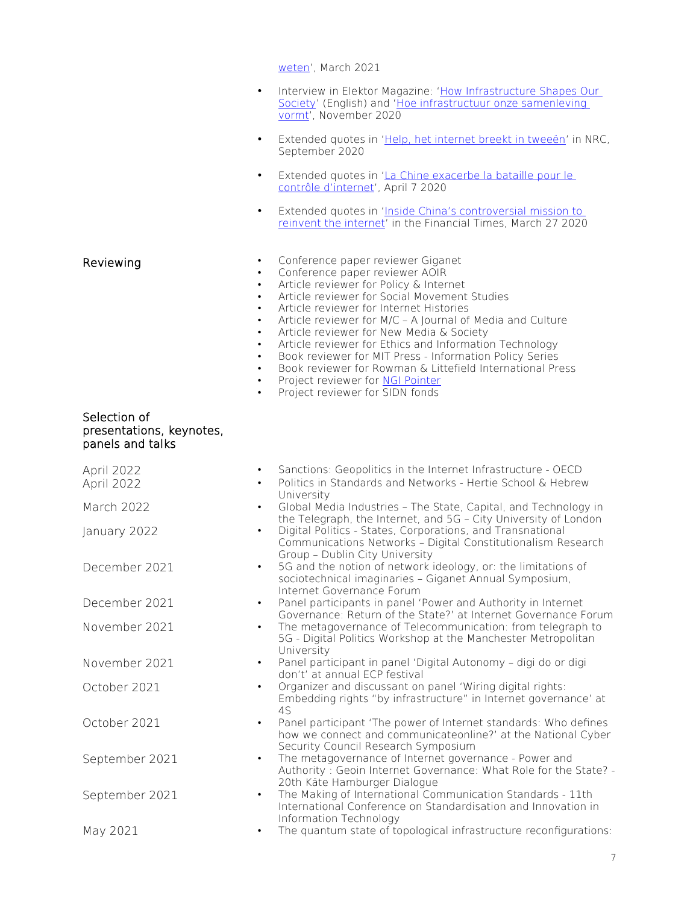[weten'](https://isoc.nl/nieuws/het-fundament-van-het-internet-niemand-kan-er-omheen-en-weinigen-weten-er-iets-van/), March 2021 Interview in Elektor Magazine: 'How Infrastructure Shapes Our [Society](https://nielstenoever.net/wp-content/uploads/2020/11/NielstenOever-EN.pdf)' (English) and 'Hoe infrastructuur onze samenleving [vormt'](https://nielstenoever.net/wp-content/uploads/2020/11/NielstenOever-NL.pdf), November 2020 • Extended quotes in '[Help, het internet breekt in tweeën'](https://www.nrc.nl/nieuws/2020/09/15/help-het-internet-breekt-in-tweeen-a4012056) in NRC, September 2020 Extended quotes in 'La Chine exacerbe la bataille pour le [contrôle d'internet](https://www.letemps.ch/monde/chine-exacerbe-bataille-controle-dinternet?utm_source=twitter&utm_medium=share&utm_campaign=article)', April 7 2020 • Extended quotes in '[Inside China's controversial mission to](https://nielstenoever.net/wp-content/uploads/2020/04/Inside-China%E2%80%99s-controversial-mission-to-reinvent-the-internet-Financial-Times-1.pdf)  [reinvent the internet'](https://nielstenoever.net/wp-content/uploads/2020/04/Inside-China%E2%80%99s-controversial-mission-to-reinvent-the-internet-Financial-Times-1.pdf) in the Financial Times, March 27 2020 Reviewing **•** Conference paper reviewer Giganet Conference paper reviewer AOIR • Article reviewer for Policy & Internet • Article reviewer for Social Movement Studies • Article reviewer for Internet Histories • Article reviewer for M/C – A Journal of Media and Culture • Article reviewer for New Media & Society • Article reviewer for Ethics and Information Technology • Book reviewer for MIT Press - Information Policy Series • Book reviewer for Rowman & Littefield International Press Project reviewer for [NGI Pointer](https://pointer.ngi.eu/) Project reviewer for SIDN fonds Selection of presentations, keynotes, panels and talks April 2022 • Sanctions: Geopolitics in the Internet Infrastructure - OECD April 2022 • Politics in Standards and Networks - Hertie School & Hebrew University March 2022 • Global Media Industries – The State, Capital, and Technology in the Telegraph, the Internet, and 5G – City University of London January 2022 • Digital Politics - States, Corporations, and Transnational Communications Networks – Digital Constitutionalism Research Group – Dublin City University December 2021 • 5G and the notion of network ideology, or: the limitations of sociotechnical imaginaries – Giganet Annual Symposium, Internet Governance Forum December 2021 • Panel participants in panel 'Power and Authority in Internet Governance: Return of the State?' at Internet Governance Forum November 2021 • The metagovernance of Telecommunication: from telegraph to 5G - Digital Politics Workshop at the Manchester Metropolitan University November 2021 • Panel participant in panel 'Digital Autonomy – digi do or digi don't' at annual ECP festival October 2021 • Organizer and discussant on panel 'Wiring digital rights: Embedding rights "by infrastructure" in Internet governance' at 4S October 2021 • Panel participant 'The power of Internet standards: Who defines how we connect and communicateonline?' at the National Cyber Security Council Research Symposium September 2021 • The metagovernance of Internet governance - Power and Authority : Geoin Internet Governance: What Role for the State? -

20th Käte Hamburger Dialogue September 2021 • The Making of International Communication Standards - 11th International Conference on Standardisation and Innovation in

Information Technology May 2021 • The quantum state of topological infrastructure reconfigurations: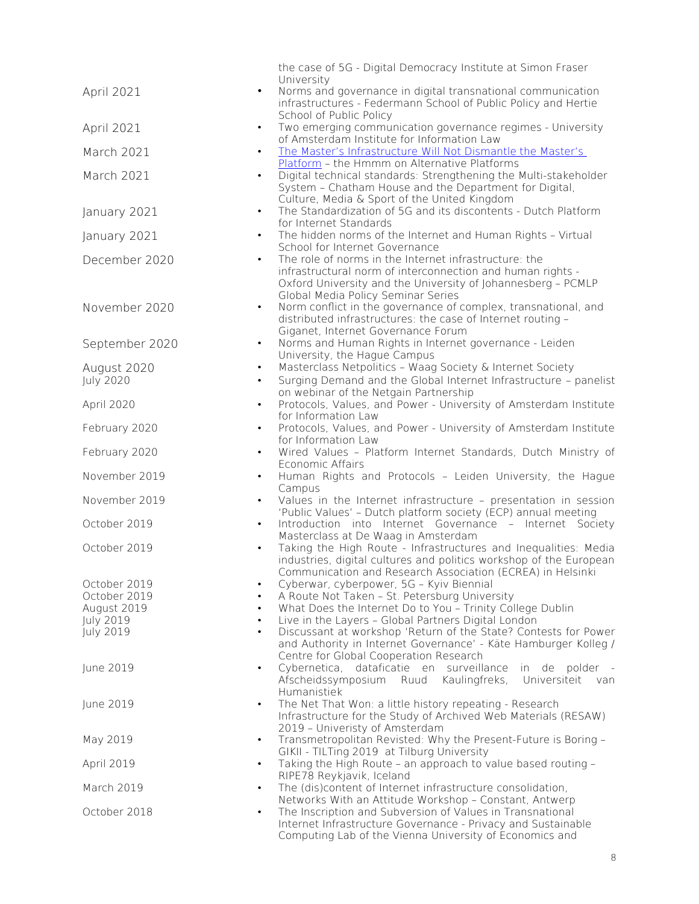|                                       | the case of 5G - Digital Democracy Institute at Simon Fraser                                                         |
|---------------------------------------|----------------------------------------------------------------------------------------------------------------------|
| $\bullet$                             | University<br>Norms and governance in digital transnational communication                                            |
| April 2021                            | infrastructures - Federmann School of Public Policy and Hertie                                                       |
|                                       | School of Public Policy                                                                                              |
| April 2021                            | Two emerging communication governance regimes - University                                                           |
| March 2021                            | of Amsterdam Institute for Information Law<br>The Master's Infrastructure Will Not Dismantle the Master's            |
|                                       | Platform - the Hmmm on Alternative Platforms                                                                         |
| March 2021                            | Digital technical standards: Strengthening the Multi-stakeholder                                                     |
|                                       | System - Chatham House and the Department for Digital,                                                               |
| January 2021<br>$\bullet$             | Culture, Media & Sport of the United Kingdom<br>The Standardization of 5G and its discontents - Dutch Platform       |
|                                       | for Internet Standards                                                                                               |
| January 2021<br>$\bullet$             | The hidden norms of the Internet and Human Rights - Virtual                                                          |
|                                       | School for Internet Governance<br>The role of norms in the Internet infrastructure: the                              |
| December 2020                         | infrastructural norm of interconnection and human rights -                                                           |
|                                       | Oxford University and the University of Johannesberg - PCMLP                                                         |
|                                       | Global Media Policy Seminar Series                                                                                   |
| November 2020<br>$\bullet$            | Norm conflict in the governance of complex, transnational, and                                                       |
|                                       | distributed infrastructures: the case of Internet routing -<br>Giganet, Internet Governance Forum                    |
| September 2020<br>$\bullet$           | Norms and Human Rights in Internet governance - Leiden                                                               |
|                                       | University, the Hague Campus                                                                                         |
| August 2020<br>July 2020              | Masterclass Netpolitics - Waag Society & Internet Society                                                            |
|                                       | Surging Demand and the Global Internet Infrastructure - panelist<br>on webinar of the Netgain Partnership            |
| April 2020<br>$\bullet$               | Protocols, Values, and Power - University of Amsterdam Institute                                                     |
|                                       | for Information Law                                                                                                  |
| February 2020                         | Protocols, Values, and Power - University of Amsterdam Institute<br>for Information Law                              |
| February 2020<br>$\bullet$            | Wired Values - Platform Internet Standards, Dutch Ministry of                                                        |
|                                       | Economic Affairs                                                                                                     |
| November 2019                         | Human Rights and Protocols - Leiden University, the Hague                                                            |
| November 2019<br>$\bullet$            | Campus<br>Values in the Internet infrastructure - presentation in session                                            |
|                                       | 'Public Values' - Dutch platform society (ECP) annual meeting                                                        |
| October 2019<br>$\bullet$             | Introduction into Internet Governance - Internet Society                                                             |
| October 2019                          | Masterclass at De Waag in Amsterdam<br>Taking the High Route - Infrastructures and Inequalities: Media               |
|                                       | industries, digital cultures and politics workshop of the European                                                   |
|                                       | Communication and Research Association (ECREA) in Helsinki                                                           |
| October 2019<br>$\bullet$             | Cyberwar, cyberpower, 5G - Kyiv Biennial                                                                             |
| October 2019<br>$\bullet$             | A Route Not Taken - St. Petersburg University                                                                        |
| August 2019<br>$\bullet$<br>July 2019 | What Does the Internet Do to You - Trinity College Dublin<br>Live in the Layers - Global Partners Digital London     |
| July 2019<br>$\bullet$                | Discussant at workshop 'Return of the State? Contests for Power                                                      |
|                                       | and Authority in Internet Governance' - Käte Hamburger Kolleg /                                                      |
|                                       | Centre for Global Cooperation Research                                                                               |
| June 2019<br>$\bullet$                | Cybernetica, dataficatie en surveillance in de polder -<br>Afscheidssymposium Ruud Kaulingfreks, Universiteit<br>van |
|                                       | Humanistiek                                                                                                          |
| June 2019<br>$\bullet$                | The Net That Won: a little history repeating - Research                                                              |
|                                       | Infrastructure for the Study of Archived Web Materials (RESAW)                                                       |
| May 2019<br>$\bullet$                 | 2019 - Univeristy of Amsterdam<br>Transmetropolitan Revisted: Why the Present-Future is Boring -                     |
|                                       | GIKII - TILTing 2019 at Tilburg University                                                                           |
| April 2019<br>$\bullet$               | Taking the High Route - an approach to value based routing -                                                         |
|                                       | RIPE78 Reykjavik, Iceland                                                                                            |
| March 2019<br>$\bullet$               | The (dis)content of Internet infrastructure consolidation,<br>Networks With an Attitude Workshop - Constant, Antwerp |
| October 2018                          | The Inscription and Subversion of Values in Transnational                                                            |
|                                       | Internet Infrastructure Governance - Privacy and Sustainable                                                         |
|                                       | Computing Lab of the Vienna University of Economics and                                                              |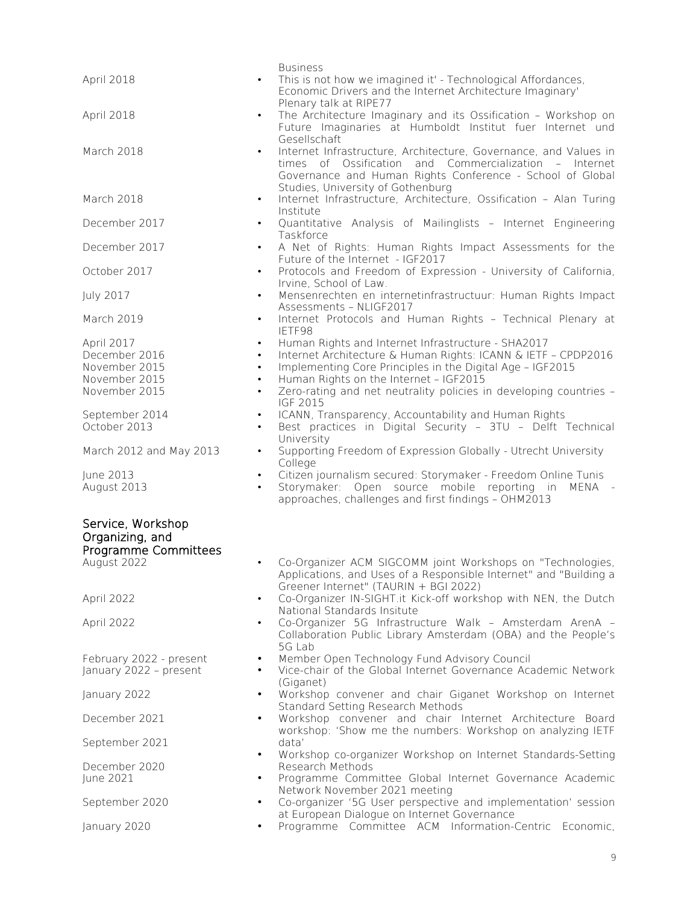| April 2018                                                                                                                                      | <b>Business</b><br>This is not how we imagined it' - Technological Affordances,<br>Economic Drivers and the Internet Architecture Imaginary'                                                                                                                                                    |
|-------------------------------------------------------------------------------------------------------------------------------------------------|-------------------------------------------------------------------------------------------------------------------------------------------------------------------------------------------------------------------------------------------------------------------------------------------------|
| April 2018<br>$\bullet$                                                                                                                         | Plenary talk at RIPE77<br>The Architecture Imaginary and its Ossification - Workshop on<br>Future Imaginaries at Humboldt Institut fuer Internet und<br>Gesellschaft                                                                                                                            |
| March 2018<br>$\bullet$                                                                                                                         | Internet Infrastructure, Architecture, Governance, and Values in<br>times of Ossification and Commercialization - Internet<br>Governance and Human Rights Conference - School of Global<br>Studies, University of Gothenburg                                                                    |
| March 2018<br>$\bullet$                                                                                                                         | Internet Infrastructure, Architecture, Ossification - Alan Turing<br>Institute                                                                                                                                                                                                                  |
| December 2017                                                                                                                                   | Quantitative Analysis of Mailinglists - Internet Engineering<br>Taskforce                                                                                                                                                                                                                       |
| December 2017<br>$\bullet$                                                                                                                      | A Net of Rights: Human Rights Impact Assessments for the<br>Future of the Internet - IGF2017                                                                                                                                                                                                    |
| October 2017<br>٠                                                                                                                               | Protocols and Freedom of Expression - University of California,<br>Irvine, School of Law.                                                                                                                                                                                                       |
| July 2017<br>$\bullet$                                                                                                                          | Mensenrechten en internetinfrastructuur: Human Rights Impact<br>Assessments - NLIGF2017                                                                                                                                                                                                         |
| March 2019<br>٠                                                                                                                                 | Internet Protocols and Human Rights - Technical Plenary at<br>IETF98                                                                                                                                                                                                                            |
| April 2017<br>$\bullet$<br>December 2016<br>$\bullet$<br>November 2015<br>$\bullet$<br>November 2015<br>$\bullet$<br>November 2015<br>$\bullet$ | Human Rights and Internet Infrastructure - SHA2017<br>Internet Architecture & Human Rights: ICANN & IETF - CPDP2016<br>Implementing Core Principles in the Digital Age - IGF2015<br>Human Rights on the Internet - IGF2015<br>Zero-rating and net neutrality policies in developing countries - |
| September 2014<br>$\bullet$<br>October 2013<br>$\bullet$                                                                                        | IGF 2015<br>ICANN, Transparency, Accountability and Human Rights<br>Best practices in Digital Security - 3TU - Delft Technical<br>University                                                                                                                                                    |
| March 2012 and May 2013<br>$\bullet$                                                                                                            | Supporting Freedom of Expression Globally - Utrecht University<br>College                                                                                                                                                                                                                       |
| June 2013<br>$\bullet$<br>August 2013<br>$\bullet$                                                                                              | Citizen journalism secured: Storymaker - Freedom Online Tunis<br>Storymaker: Open source mobile reporting in<br>MENA -<br>approaches, challenges and first findings - OHM2013                                                                                                                   |
| Service, Workshop<br>Organizing, and<br>Programme Committees<br>August 2022                                                                     | Co-Organizer ACM SIGCOMM joint Workshops on "Technologies,<br>Applications, and Uses of a Responsible Internet" and "Building a<br>Greener Internet" (TAURIN + BGI 2022)                                                                                                                        |
| April 2022                                                                                                                                      | Co-Organizer IN-SIGHT.it Kick-off workshop with NEN, the Dutch<br>National Standards Insitute                                                                                                                                                                                                   |
| April 2022<br>$\bullet$                                                                                                                         | Co-Organizer 5G Infrastructure Walk - Amsterdam ArenA -<br>Collaboration Public Library Amsterdam (OBA) and the People's<br>5G Lab                                                                                                                                                              |
| February 2022 - present<br>٠<br>January 2022 - present<br>$\bullet$                                                                             | Member Open Technology Fund Advisory Council<br>Vice-chair of the Global Internet Governance Academic Network                                                                                                                                                                                   |
| January 2022<br>$\bullet$                                                                                                                       | (Giganet)<br>Workshop convener and chair Giganet Workshop on Internet<br>Standard Setting Research Methods                                                                                                                                                                                      |
| December 2021<br>$\bullet$                                                                                                                      | Workshop convener and chair Internet Architecture Board<br>workshop: 'Show me the numbers: Workshop on analyzing IETF                                                                                                                                                                           |
| September 2021<br>$\bullet$                                                                                                                     | data'<br>Workshop co-organizer Workshop on Internet Standards-Setting                                                                                                                                                                                                                           |
| December 2020<br>June 2021                                                                                                                      | Research Methods<br>Programme Committee Global Internet Governance Academic<br>Network November 2021 meeting                                                                                                                                                                                    |
| September 2020<br>٠                                                                                                                             | Co-organizer '5G User perspective and implementation' session<br>at European Dialogue on Internet Governance                                                                                                                                                                                    |
| January 2020<br>$\bullet$                                                                                                                       | Programme Committee ACM Information-Centric Economic,                                                                                                                                                                                                                                           |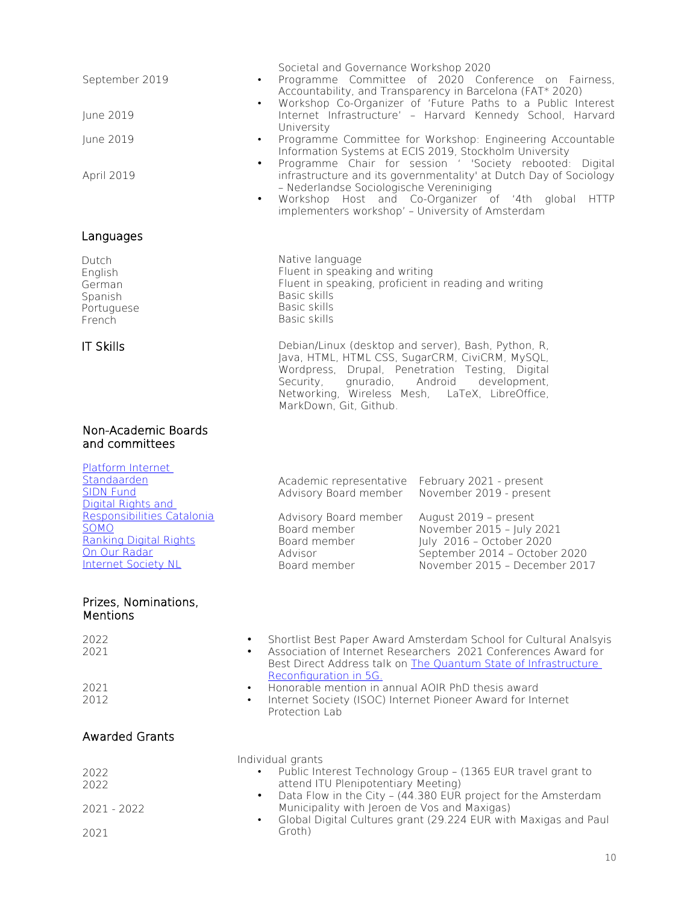| September 2019<br>June 2019<br>June 2019<br>April 2019                                                                                                                                          | Societal and Governance Workshop 2020<br>Programme Committee of 2020 Conference on Fairness,<br>٠<br>Accountability, and Transparency in Barcelona (FAT* 2020)<br>Workshop Co-Organizer of 'Future Paths to a Public Interest<br>$\bullet$<br>Internet Infrastructure' - Harvard Kennedy School, Harvard<br>University<br>Programme Committee for Workshop: Engineering Accountable<br>٠<br>Information Systems at ECIS 2019, Stockholm University<br>Programme Chair for session ' 'Society rebooted: Digital<br>$\bullet$<br>infrastructure and its governmentality' at Dutch Day of Sociology<br>- Nederlandse Sociologische Vereniniging<br>Workshop Host and Co-Organizer of '4th global HTTP<br>$\bullet$<br>implementers workshop' - University of Amsterdam |
|-------------------------------------------------------------------------------------------------------------------------------------------------------------------------------------------------|---------------------------------------------------------------------------------------------------------------------------------------------------------------------------------------------------------------------------------------------------------------------------------------------------------------------------------------------------------------------------------------------------------------------------------------------------------------------------------------------------------------------------------------------------------------------------------------------------------------------------------------------------------------------------------------------------------------------------------------------------------------------|
| Languages                                                                                                                                                                                       |                                                                                                                                                                                                                                                                                                                                                                                                                                                                                                                                                                                                                                                                                                                                                                     |
| Dutch<br>English<br>German<br>Spanish<br>Portuguese<br>French                                                                                                                                   | Native language<br>Fluent in speaking and writing<br>Fluent in speaking, proficient in reading and writing<br>Basic skills<br>Basic skills<br>Basic skills                                                                                                                                                                                                                                                                                                                                                                                                                                                                                                                                                                                                          |
| <b>IT Skills</b>                                                                                                                                                                                | Debian/Linux (desktop and server), Bash, Python, R,<br>Java, HTML, HTML CSS, SugarCRM, CiviCRM, MySQL,<br>Wordpress, Drupal, Penetration Testing, Digital<br>Security, gnuradio, Android<br>development,<br>Networking, Wireless Mesh, LaTeX, LibreOffice,<br>MarkDown, Git, Github.                                                                                                                                                                                                                                                                                                                                                                                                                                                                                |
| Non-Academic Boards<br>and committees                                                                                                                                                           |                                                                                                                                                                                                                                                                                                                                                                                                                                                                                                                                                                                                                                                                                                                                                                     |
| Platform Internet<br>Standaarden<br><b>SIDN Fund</b><br>Digital Rights and<br>Responsibilities Catalonia<br>SOMO<br><b>Ranking Digital Rights</b><br>On Our Radar<br><b>Internet Society NL</b> | Academic representative February 2021 - present<br>Advisory Board member<br>November 2019 - present<br>Advisory Board member<br>August 2019 - present<br>Board member<br>November 2015 - July 2021<br>July 2016 - October 2020<br>Board member<br>September 2014 - October 2020<br>Advisor<br>November 2015 - December 2017<br>Board member                                                                                                                                                                                                                                                                                                                                                                                                                         |
| Prizes, Nominations,<br>Mentions                                                                                                                                                                |                                                                                                                                                                                                                                                                                                                                                                                                                                                                                                                                                                                                                                                                                                                                                                     |
| 2022<br>2021                                                                                                                                                                                    | Shortlist Best Paper Award Amsterdam School for Cultural Analsyis<br>$\bullet$<br>Association of Internet Researchers 2021 Conferences Award for<br>Best Direct Address talk on The Quantum State of Infrastructure<br>Reconfiguration in 5G.                                                                                                                                                                                                                                                                                                                                                                                                                                                                                                                       |
| 2021<br>2012                                                                                                                                                                                    | Honorable mention in annual AOIR PhD thesis award<br>Internet Society (ISOC) Internet Pioneer Award for Internet<br>Protection Lab                                                                                                                                                                                                                                                                                                                                                                                                                                                                                                                                                                                                                                  |
| <b>Awarded Grants</b>                                                                                                                                                                           |                                                                                                                                                                                                                                                                                                                                                                                                                                                                                                                                                                                                                                                                                                                                                                     |
| 2022<br>2022                                                                                                                                                                                    | Individual grants<br>Public Interest Technology Group - (1365 EUR travel grant to<br>attend ITU Plenipotentiary Meeting)<br>Data Flow in the City - (44.380 EUR project for the Amsterdam<br>$\bullet$                                                                                                                                                                                                                                                                                                                                                                                                                                                                                                                                                              |
| $2021 - 2022$<br>2021                                                                                                                                                                           | Municipality with Jeroen de Vos and Maxigas)<br>Global Digital Cultures grant (29.224 EUR with Maxigas and Paul<br>$\bullet$<br>Groth)                                                                                                                                                                                                                                                                                                                                                                                                                                                                                                                                                                                                                              |